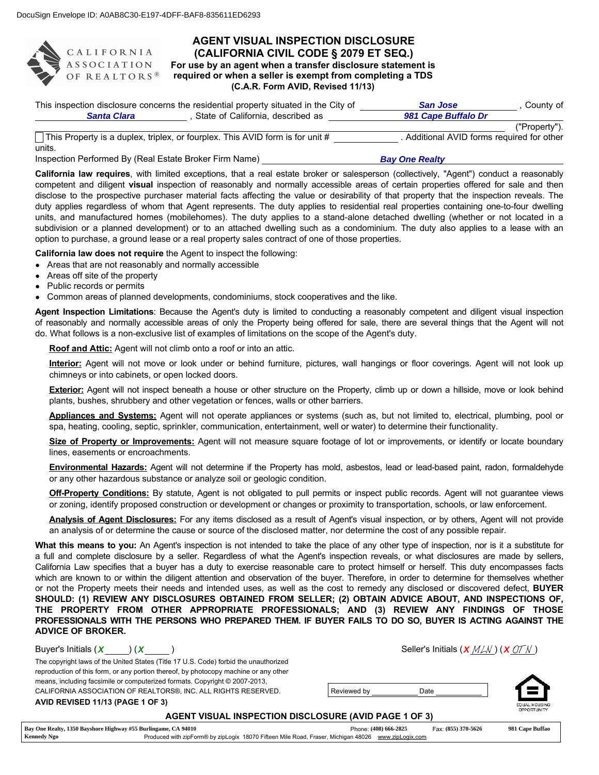

## AGENT VISUAL INSPECTION DISCLOSURE (CALIFORNIA CIVIL CODE § 2079 ET SEQ.) For use by an agent when a transfer disclosure statement is required or when a seller is exempt from completing a TDS (C.A.R. Form AVID, Revised 11/13)

| This inspection disclosure concerns the residential property situated in the City of | <b>San Jose</b>                                                               | County of                                |               |
|--------------------------------------------------------------------------------------|-------------------------------------------------------------------------------|------------------------------------------|---------------|
| <b>Santa Clara</b>                                                                   | State of California, described as                                             | 981 Cape Buffalo Dr                      |               |
|                                                                                      |                                                                               |                                          | ("Property"). |
|                                                                                      | This Property is a duplex, triplex, or fourplex. This AVID form is for unit # | Additional AVID forms required for other |               |
| units                                                                                |                                                                               |                                          |               |

Inspection Performed By (Real Estate Broker Firm Name)

*Bay One Realty*

California law requires, with limited exceptions, that a real estate broker or salesperson (collectively, "Agent") conduct a reasonably competent and diligent visual inspection of reasonably and normally accessible areas of certain properties offered for sale and then disclose to the prospective purchaser material facts affecting the value or desirability of that property that the inspection reveals. The duty applies regardless of whom that Agent represents. The duty applies to residential real properties containing one-to-four dwelling units, and manufactured homes (mobilehomes). The duty applies to a stand-alone detached dwelling (whether or not located in a subdivision or a planned development) or to an attached dwelling such as a condominium. The duty also applies to a lease with an option to purchase, a ground lease or a real property sales contract of one of those properties.

California law does not require the Agent to inspect the following:

- Areas that are not reasonably and normally accessible
- Areas off site of the property
- Public records or permits
- Common areas of planned developments, condominiums, stock cooperatives and the like.

Agent Inspection Limitations: Because the Agent's duty is limited to conducting a reasonably competent and diligent visual inspection of reasonably and normally accessible areas of only the Property being offered for sale, there are several things that the Agent will not do. What follows is a non-exclusive list of examples of limitations on the scope of the Agent's duty.

Roof and Attic: Agent will not climb onto a roof or into an attic.

Interior: Agent will not move or look under or behind furniture, pictures, wall hangings or floor coverings. Agent will not look up chimneys or into cabinets, or open locked doors.

Exterior: Agent will not inspect beneath a house or other structure on the Property, climb up or down a hillside, move or look behind plants, bushes, shrubbery and other vegetation or fences, walls or other barriers.

Appliances and Systems: Agent will not operate appliances or systems (such as, but not limited to, electrical, plumbing, pool or spa, heating, cooling, septic, sprinkler, communication, entertainment, well or water) to determine their functionality.

Size of Property or Improvements: Agent will not measure square footage of lot or improvements, or identify or locate boundary lines, easements or encroachments.

Environmental Hazards: Agent will not determine if the Property has mold, asbestos, lead or lead-based paint, radon, formaldehyde or any other hazardous substance or analyze soil or geologic condition.

Off-Property Conditions: By statute, Agent is not obligated to pull permits or inspect public records. Agent will not guarantee views or zoning, identify proposed construction or development or changes or proximity to transportation, schools, or law enforcement.

Analysis of Agent Disclosures: For any items disclosed as a result of Agent's visual inspection, or by others, Agent will not provide an analysis of or determine the cause or source of the disclosed matter, nor determine the cost of any possible repair.

What this means to you: An Agent's inspection is not intended to take the place of any other type of inspection, nor is it a substitute for a full and complete disclosure by a seller. Regardless of what the Agent's inspection reveals, or what disclosures are made by sellers, California Law specifies that a buyer has a duty to exercise reasonable care to protect himself or herself. This duty encompasses facts which are known to or within the diligent attention and observation of the buyer. Therefore, in order to determine for themselves whether or not the Property meets their needs and intended uses, as well as the cost to remedy any disclosed or discovered defect, BUYER SHOULD: (1) REVIEW ANY DISCLOSURES OBTAINED FROM SELLER; (2) OBTAIN ADVICE ABOUT, AND INSPECTIONS OF, THE PROPERTY FROM OTHER APPROPRIATE PROFESSIONALS; AND (3) REVIEW ANY FINDINGS OF THOSE PROFESSIONALS WITH THE PERSONS WHO PREPARED THEM. IF BUYER FAILS TO DO SO, BUYER IS ACTING AGAINST THE ADVICE OF BROKER.

| Buver's Initials $(X)$ | Seller's Initials $(\mathbf{X}$ MLN) ( $\mathbf{X}$ OT N |
|------------------------|----------------------------------------------------------|
|------------------------|----------------------------------------------------------|

The copyright laws of the United States (Title 17 U.S. Code) forbid the unauthorized reproduction of this form, or any portion thereof, by photocopy machine or any other means, including facsimile or computerized formats. Copyright © 2007-2013, CALIFORNIA ASSOCIATION OF REALTORS®, INC. ALL RIGHTS RESERVED. **Reviewed by Date** Date

AVID REVISED 11/13 (PAGE 1 OF 3)



## AGENT VISUAL INSPECTION DISCLOSURE (AVID PAGE 1 OF 3)

| Bay One Realty, 1350 Bayshore Highway #55 Burlingame, CA 94010 |                                                                                    | Phone: (408) 666-2825 | Fax: (855) 370-5626 | 981 Cape Buffao |
|----------------------------------------------------------------|------------------------------------------------------------------------------------|-----------------------|---------------------|-----------------|
| <b>Kennedy Ngo</b>                                             | Produced with zipForm® by zipLogix 18070 Fifteen Mile Road, Fraser, Michigan 48026 | www.zipLogix.com      |                     |                 |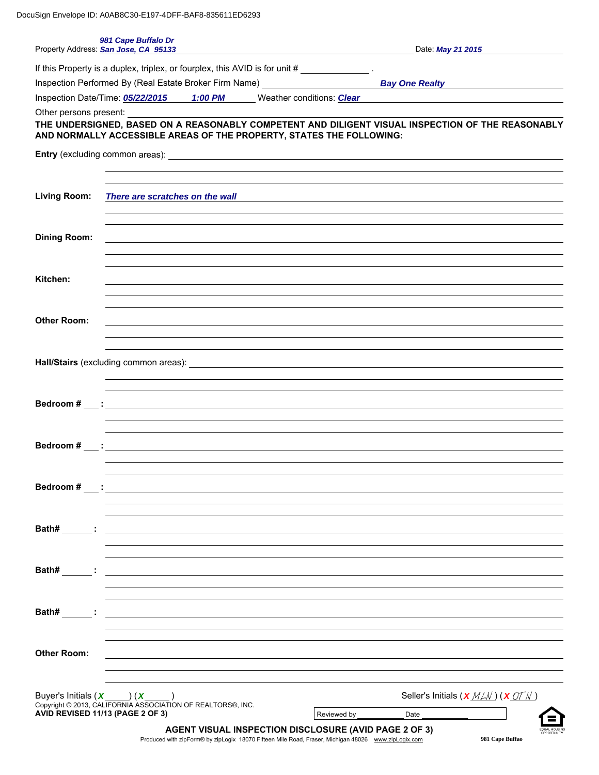DocuSign Envelope ID: A0AB8C30-E197-4DFF-BAF8-835611ED6293

|                                  | 981 Cape Buffalo Dr<br>Property Address: San Jose, CA 95133                                                 |                                                                                                                                                                                    | Date: <i>May</i> 21 2015                                                                                              |
|----------------------------------|-------------------------------------------------------------------------------------------------------------|------------------------------------------------------------------------------------------------------------------------------------------------------------------------------------|-----------------------------------------------------------------------------------------------------------------------|
|                                  |                                                                                                             | If this Property is a duplex, triplex, or fourplex, this AVID is for unit #                                                                                                        |                                                                                                                       |
|                                  |                                                                                                             |                                                                                                                                                                                    |                                                                                                                       |
|                                  |                                                                                                             |                                                                                                                                                                                    | Inspection Date/Time: 05/22/2015 1:00 PM Weather conditions: Clear                                                    |
|                                  | Other persons present: <u>contract and the persons</u> present:                                             | AND NORMALLY ACCESSIBLE AREAS OF THE PROPERTY, STATES THE FOLLOWING:                                                                                                               | THE UNDERSIGNED, BASED ON A REASONABLY COMPETENT AND DILIGENT VISUAL INSPECTION OF THE REASONABLY                     |
|                                  |                                                                                                             |                                                                                                                                                                                    |                                                                                                                       |
| <b>Living Room:</b>              | There are scratches on the wall                                                                             |                                                                                                                                                                                    | <u> 1980 - Johann Stoff, deutscher Stoff, der Stoff, der Stoff, der Stoff, der Stoff, der Stoff, der Stoff, der S</u> |
| <b>Dining Room:</b>              |                                                                                                             | ,我们也不能在这里的时候,我们也不能在这里的时候,我们也不能会在这里的时候,我们也不能会在这里的时候,我们也不能会在这里的时候,我们也不能会在这里的时候,我们也                                                                                                   |                                                                                                                       |
| Kitchen:                         |                                                                                                             |                                                                                                                                                                                    |                                                                                                                       |
| <b>Other Room:</b>               |                                                                                                             |                                                                                                                                                                                    |                                                                                                                       |
|                                  |                                                                                                             |                                                                                                                                                                                    |                                                                                                                       |
|                                  |                                                                                                             |                                                                                                                                                                                    |                                                                                                                       |
|                                  |                                                                                                             |                                                                                                                                                                                    |                                                                                                                       |
|                                  |                                                                                                             |                                                                                                                                                                                    |                                                                                                                       |
| Bath#:                           |                                                                                                             |                                                                                                                                                                                    |                                                                                                                       |
| Bath#:                           |                                                                                                             |                                                                                                                                                                                    |                                                                                                                       |
| Bath#:                           |                                                                                                             |                                                                                                                                                                                    |                                                                                                                       |
| <b>Other Room:</b>               |                                                                                                             |                                                                                                                                                                                    |                                                                                                                       |
|                                  | Buyer's Initials $(\mathbf{x}) (\mathbf{x})$<br>Copyright © 2013, CALIFORNIA ASSOCIATION OF REALTORS®, INC. |                                                                                                                                                                                    | Seller's Initials ( <i>X_MLN</i> ) ( <i>X_OT N</i> )                                                                  |
| AVID REVISED 11/13 (PAGE 2 OF 3) |                                                                                                             | Reviewed by<br><b>AGENT VISUAL INSPECTION DISCLOSURE (AVID PAGE 2 OF 3)</b><br>Produced with zipForm® by zipLogix 18070 Fifteen Mile Road, Fraser, Michigan 48026 www.zipLogix.com | Date<br>981 Cape Buffao                                                                                               |